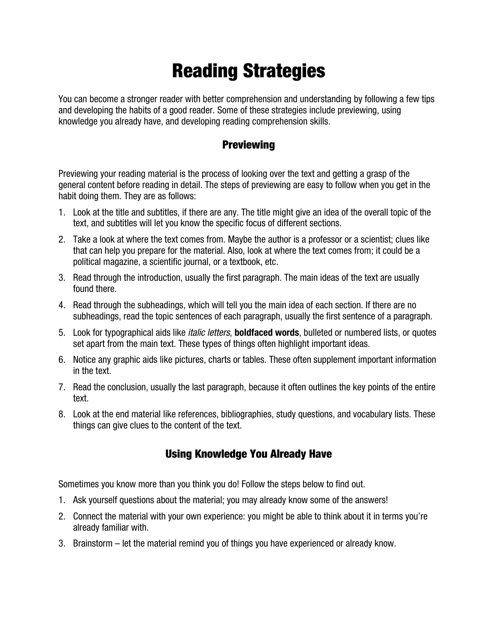## Reading Strategies

You can become a stronger reader with better comprehension and understanding by following a few tips and developing the habits of a good reader. Some of these strategies include previewing, using knowledge you already have, and developing reading comprehension skills.

## **Previewing**

Previewing your reading material is the process of looking over the text and getting a grasp of the general content before reading in detail. The steps of previewing are easy to follow when you get in the habit doing them. They are as follows:

- 1. Look at the title and subtitles, if there are any. The title might give an idea of the overall topic of the text, and subtitles will let you know the specific focus of different sections.
- 2. Take a look at where the text comes from. Maybe the author is a professor or a scientist; clues like that can help you prepare for the material. Also, look at where the text comes from; it could be a political magazine, a scientific journal, or a textbook, etc.
- 3. Read through the introduction, usually the first paragraph. The main ideas of the text are usually found there.
- 4. Read through the subheadings, which will tell you the main idea of each section. If there are no subheadings, read the topic sentences of each paragraph, usually the first sentence of a paragraph.
- 5. Look for typographical aids like italic letters, **boldfaced words**, bulleted or numbered lists, or quotes set apart from the main text. These types of things often highlight important ideas.
- 6. Notice any graphic aids like pictures, charts or tables. These often supplement important information in the text.
- 7. Read the conclusion, usually the last paragraph, because it often outlines the key points of the entire text.
- 8. Look at the end material like references, bibliographies, study questions, and vocabulary lists. These things can give clues to the content of the text.

## Using Knowledge You Already Have

Sometimes you know more than you think you do! Follow the steps below to find out.

- 1. Ask yourself questions about the material; you may already know some of the answers!
- 2. Connect the material with your own experience: you might be able to think about it in terms you're already familiar with.
- 3. Brainstorm let the material remind you of things you have experienced or already know.